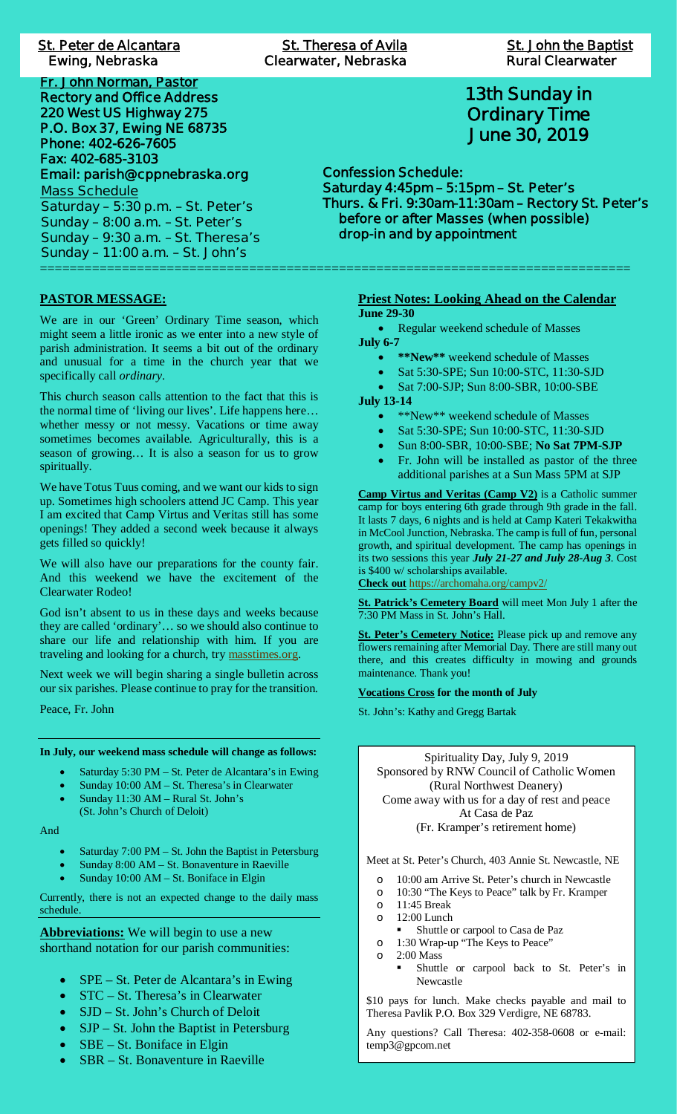# **St. Peter de Alcantara St. St. Peter de Alcantara St. Theresa of Avila St. John the Baptist Ewing, Nebraska**

**Fr. John Norman, Pastor Rectory and Office Address 220 West US Highway 275 P.O. Box 37, Ewing NE 68735 Phone: 402-626-7605 Fax: 402-685-3103 Email: parish@cppnebraska.org Mass Schedule Saturday – 5:30 p.m. – St. Peter's Sunday – 8:00 a.m. – St. Peter's Sunday – 9:30 a.m. – St. Theresa's Sunday – 11:00 a.m. – St. John's** ===============================================================================

**PASTOR MESSAGE:**

We are in our 'Green' Ordinary Time season, which might seem a little ironic as we enter into a new style of parish administration. It seems a bit out of the ordinary and unusual for a time in the church year that we specifically call *ordinary*.

This church season calls attention to the fact that this is the normal time of 'living our lives'. Life happens here… whether messy or not messy. Vacations or time away sometimes becomes available. Agriculturally, this is a season of growing… It is also a season for us to grow spiritually.

We have Totus Tuus coming, and we want our kids to sign up. Sometimes high schoolers attend JC Camp. This year I am excited that Camp Virtus and Veritas still has some openings! They added a second week because it always gets filled so quickly!

We will also have our preparations for the county fair. And this weekend we have the excitement of the Clearwater Rodeo!

God isn't absent to us in these days and weeks because they are called 'ordinary'… so we should also continue to share our life and relationship with him. If you are traveling and looking for a church, try masstimes.org.

Next week we will begin sharing a single bulletin across our six parishes. Please continue to pray for the transition.

Peace, Fr. John

**In July, our weekend mass schedule will change as follows:**

- Saturday 5:30 PM St. Peter de Alcantara's in Ewing
- Sunday 10:00 AM St. Theresa's in Clearwater
- Sunday 11:30 AM Rural St. John's
- (St. John's Church of Deloit)

And

- Saturday 7:00 PM St. John the Baptist in Petersburg
- Sunday 8:00 AM St. Bonaventure in Raeville
- Sunday 10:00 AM St. Boniface in Elgin

Currently, there is not an expected change to the daily mass schedule.

**Abbreviations:** We will begin to use a new shorthand notation for our parish communities:

- SPE St. Peter de Alcantara's in Ewing
- · STC St. Theresa's in Clearwater
- SJD St. John's Church of Deloit
- $SJP St.$  John the Baptist in Petersburg
- $SBE St.$  Boniface in Elgin
- SBR St. Bonaventure in Raeville

**St. Theresa of Avila Clear Ewing, Nebraska Clearwater, Nebraska Rural Clearwater**

<u>St. John the Baptist</u><br>Rural Clearwater

# **13th Sunday in Ordinary Time June 30, 2019**

**Confession Schedule: Saturday 4:45pm – 5:15pm – St. Peter's Thurs. & Fri. 9:30am-11:30am – Rectory St. Peter's before or after Masses (when possible) drop-in and by appointment**

### **Priest Notes: Looking Ahead on the Calendar June 29-30**

• Regular weekend schedule of Masses **July 6-7**

- · **\*\*New\*\*** weekend schedule of Masses
- Sat 5:30-SPE; Sun 10:00-STC, 11:30-SJD
- Sat 7:00-SJP; Sun 8:00-SBR, 10:00-SBE

**July 13-14**

- \*\*New\*\* weekend schedule of Masses
- Sat 5:30-SPE; Sun 10:00-STC, 11:30-SJD
- · Sun 8:00-SBR, 10:00-SBE; **No Sat 7PM-SJP**
- · Fr. John will be installed as pastor of the three additional parishes at a Sun Mass 5PM at SJP

**Camp Virtus and Veritas (Camp V2)** is a Catholic summer camp for boys entering 6th grade through 9th grade in the fall. It lasts 7 days, 6 nights and is held at Camp Kateri Tekakwitha in McCool Junction, Nebraska. The camp is full of fun, personal growth, and spiritual development. The camp has openings in its two sessions this year *July 21-27 and July 28-Aug 3*. Cost is \$400 w/ scholarships available. **Check out** https://archomaha.org/campv2/

**St. Patrick's Cemetery Board** will meet Mon July 1 after the 7:30 PM Mass in St. John's Hall.

**St. Peter's Cemetery Notice:** Please pick up and remove any flowers remaining after Memorial Day. There are still many out there, and this creates difficulty in mowing and grounds maintenance. Thank you!

**Vocations Cross for the month of July**

St. John's: Kathy and Gregg Bartak

Spirituality Day, July 9, 2019 Sponsored by RNW Council of Catholic Women (Rural Northwest Deanery) Come away with us for a day of rest and peace At Casa de Paz (Fr. Kramper's retirement home)

Meet at St. Peter's Church, 403 Annie St. Newcastle, NE

- o 10:00 am Arrive St. Peter's church in Newcastle
- o 10:30 "The Keys to Peace" talk by Fr. Kramper
- o 11:45 Break
- o 12:00 Lunch
- § Shuttle or carpool to Casa de Paz
- o 1:30 Wrap-up "The Keys to Peace"
- $\Omega$  2:00 Mass
	- § Shuttle or carpool back to St. Peter's in Newcastle

\$10 pays for lunch. Make checks payable and mail to Theresa Pavlik P.O. Box 329 Verdigre, NE 68783.

Any questions? Call Theresa: 402-358-0608 or e-mail: temp3@gpcom.net